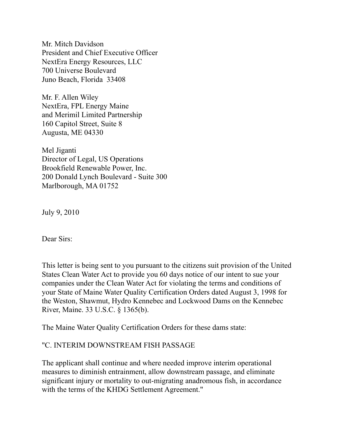Mr. Mitch Davidson President and Chief Executive Officer NextEra Energy Resources, LLC 700 Universe Boulevard Juno Beach, Florida 33408

Mr. F. Allen Wiley NextEra, FPL Energy Maine and Merimil Limited Partnership 160 Capitol Street, Suite 8 Augusta, ME 04330

Mel Jiganti Director of Legal, US Operations Brookfield Renewable Power, Inc. 200 Donald Lynch Boulevard - Suite 300 Marlborough, MA 01752

July 9, 2010

Dear Sirs:

This letter is being sent to you pursuant to the citizens suit provision of the United States Clean Water Act to provide you 60 days notice of our intent to sue your companies under the Clean Water Act for violating the terms and conditions of your State of Maine Water Quality Certification Orders dated August 3, 1998 for the Weston, Shawmut, Hydro Kennebec and Lockwood Dams on the Kennebec River, Maine. 33 U.S.C. § 1365(b).

The Maine Water Quality Certification Orders for these dams state:

## "C. INTERIM DOWNSTREAM FISH PASSAGE

The applicant shall continue and where needed improve interim operational measures to diminish entrainment, allow downstream passage, and eliminate significant injury or mortality to out-migrating anadromous fish, in accordance with the terms of the KHDG Settlement Agreement."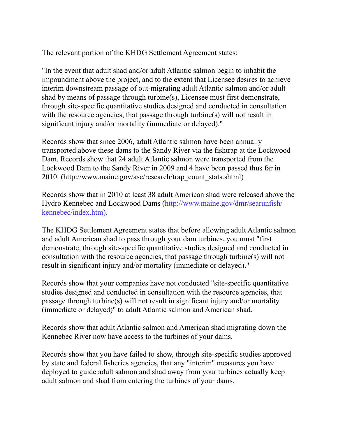The relevant portion of the KHDG Settlement Agreement states:

"In the event that adult shad and/or adult Atlantic salmon begin to inhabit the impoundment above the project, and to the extent that Licensee desires to achieve interim downstream passage of out-migrating adult Atlantic salmon and/or adult shad by means of passage through turbine(s), Licensee must first demonstrate, through site-specific quantitative studies designed and conducted in consultation with the resource agencies, that passage through turbine(s) will not result in significant injury and/or mortality (immediate or delayed)."

Records show that since 2006, adult Atlantic salmon have been annually transported above these dams to the Sandy River via the fishtrap at the Lockwood Dam. Records show that 24 adult Atlantic salmon were transported from the Lockwood Dam to the Sandy River in 2009 and 4 have been passed thus far in 2010. (http://www.maine.gov/asc/research/trap\_count\_stats.shtml)

Records show that in 2010 at least 38 adult American shad were released above the Hydro Kennebec and Lockwood Dams (http://www.maine.gov/dmr/searunfish/ kennebec/index.htm).

The KHDG Settlement Agreement states that before allowing adult Atlantic salmon and adult American shad to pass through your dam turbines, you must "first demonstrate, through site-specific quantitative studies designed and conducted in consultation with the resource agencies, that passage through turbine(s) will not result in significant injury and/or mortality (immediate or delayed)."

Records show that your companies have not conducted "site-specific quantitative studies designed and conducted in consultation with the resource agencies, that passage through turbine(s) will not result in significant injury and/or mortality (immediate or delayed)" to adult Atlantic salmon and American shad.

Records show that adult Atlantic salmon and American shad migrating down the Kennebec River now have access to the turbines of your dams.

Records show that you have failed to show, through site-specific studies approved by state and federal fisheries agencies, that any "interim" measures you have deployed to guide adult salmon and shad away from your turbines actually keep adult salmon and shad from entering the turbines of your dams.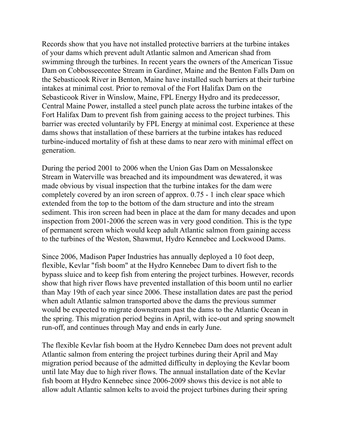Records show that you have not installed protective barriers at the turbine intakes of your dams which prevent adult Atlantic salmon and American shad from swimming through the turbines. In recent years the owners of the American Tissue Dam on Cobbosseecontee Stream in Gardiner, Maine and the Benton Falls Dam on the Sebasticook River in Benton, Maine have installed such barriers at their turbine intakes at minimal cost. Prior to removal of the Fort Halifax Dam on the Sebasticook River in Winslow, Maine, FPL Energy Hydro and its predecessor, Central Maine Power, installed a steel punch plate across the turbine intakes of the Fort Halifax Dam to prevent fish from gaining access to the project turbines. This barrier was erected voluntarily by FPL Energy at minimal cost. Experience at these dams shows that installation of these barriers at the turbine intakes has reduced turbine-induced mortality of fish at these dams to near zero with minimal effect on generation.

During the period 2001 to 2006 when the Union Gas Dam on Messalonskee Stream in Waterville was breached and its impoundment was dewatered, it was made obvious by visual inspection that the turbine intakes for the dam were completely covered by an iron screen of approx. 0.75 - 1 inch clear space which extended from the top to the bottom of the dam structure and into the stream sediment. This iron screen had been in place at the dam for many decades and upon inspection from 2001-2006 the screen was in very good condition. This is the type of permanent screen which would keep adult Atlantic salmon from gaining access to the turbines of the Weston, Shawmut, Hydro Kennebec and Lockwood Dams.

Since 2006, Madison Paper Industries has annually deployed a 10 foot deep, flexible, Kevlar "fish boom" at the Hydro Kennebec Dam to divert fish to the bypass sluice and to keep fish from entering the project turbines. However, records show that high river flows have prevented installation of this boom until no earlier than May 19th of each year since 2006. These installation dates are past the period when adult Atlantic salmon transported above the dams the previous summer would be expected to migrate downstream past the dams to the Atlantic Ocean in the spring. This migration period begins in April, with ice-out and spring snowmelt run-off, and continues through May and ends in early June.

The flexible Kevlar fish boom at the Hydro Kennebec Dam does not prevent adult Atlantic salmon from entering the project turbines during their April and May migration period because of the admitted difficulty in deploying the Kevlar boom until late May due to high river flows. The annual installation date of the Kevlar fish boom at Hydro Kennebec since 2006-2009 shows this device is not able to allow adult Atlantic salmon kelts to avoid the project turbines during their spring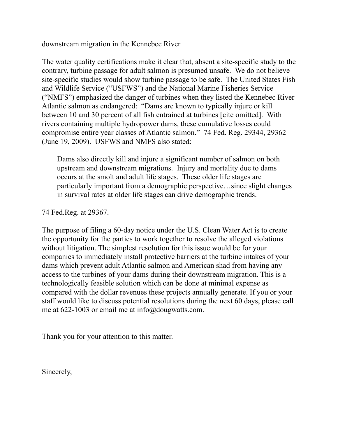downstream migration in the Kennebec River.

The water quality certifications make it clear that, absent a site-specific study to the contrary, turbine passage for adult salmon is presumed unsafe. We do not believe site-specific studies would show turbine passage to be safe. The United States Fish and Wildlife Service ("USFWS") and the National Marine Fisheries Service ("NMFS") emphasized the danger of turbines when they listed the Kennebec River Atlantic salmon as endangered: "Dams are known to typically injure or kill between 10 and 30 percent of all fish entrained at turbines [cite omitted]. With rivers containing multiple hydropower dams, these cumulative losses could compromise entire year classes of Atlantic salmon." 74 Fed. Reg. 29344, 29362 (June 19, 2009). USFWS and NMFS also stated:

Dams also directly kill and injure a significant number of salmon on both upstream and downstream migrations. Injury and mortality due to dams occurs at the smolt and adult life stages. These older life stages are particularly important from a demographic perspective…since slight changes in survival rates at older life stages can drive demographic trends.

74 Fed.Reg. at 29367.

The purpose of filing a 60-day notice under the U.S. Clean Water Act is to create the opportunity for the parties to work together to resolve the alleged violations without litigation. The simplest resolution for this issue would be for your companies to immediately install protective barriers at the turbine intakes of your dams which prevent adult Atlantic salmon and American shad from having any access to the turbines of your dams during their downstream migration. This is a technologically feasible solution which can be done at minimal expense as compared with the dollar revenues these projects annually generate. If you or your staff would like to discuss potential resolutions during the next 60 days, please call me at  $622-1003$  or email me at info@dougwatts.com.

Thank you for your attention to this matter.

Sincerely,